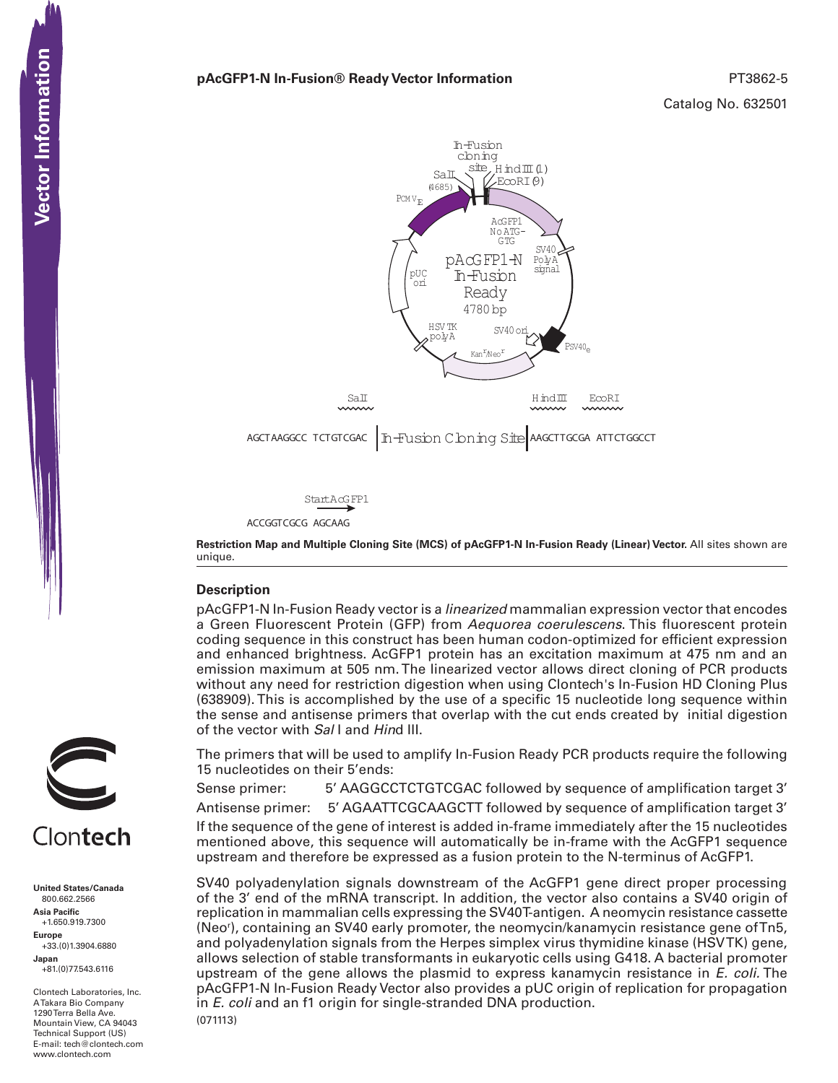#### **pAcGFP1-N In-Fusion® Ready Vector Information** *PT3862-5* **PT3862-5**



ACCGGTCGCG AGCAAG

**Restriction Map and Multiple Cloning Site (MCS) of pAcGFP1-N In-Fusion Ready (Linear) Vector.** All sites shown are unique.

#### **Description**

pAcGFP1-N In-Fusion Ready vector is a *linearized* mammalian expression vector that encodes a Green Fluorescent Protein (GFP) from *Aequorea coerulescens*. This fluorescent protein coding sequence in this construct has been human codon-optimized for efficient expression and enhanced brightness. AcGFP1 protein has an excitation maximum at 475 nm and an emission maximum at 505 nm. The linearized vector allows direct cloning of PCR products without any need for restriction digestion when using Clontech's In-Fusion HD Cloning Plus (638909). This is accomplished by the use of a specific 15 nucleotide long sequence within the sense and antisense primers that overlap with the cut ends created by initial digestion of the vector with *Sal* I and *Hin*d III.

The primers that will be used to amplify In-Fusion Ready PCR products require the following 15 nucleotides on their 5'ends:

Sense primer: 5' AAGGCCTCTGTCGAC followed by sequence of amplification target 3'

Antisense primer: 5' AGAATTCGCAAGCTT followed by sequence of amplification target 3'

If the sequence of the gene of interest is added in-frame immediately after the 15 nucleotides mentioned above, this sequence will automatically be in-frame with the AcGFP1 sequence upstream and therefore be expressed as a fusion protein to the N-terminus of AcGFP1.

(071113) SV40 polyadenylation signals downstream of the AcGFP1 gene direct proper processing of the 3' end of the mRNA transcript. In addition, the vector also contains a SV40 origin of replication in mammalian cells expressing the SV40T-antigen. A neomycin resistance cassette (Neor ), containing an SV40 early promoter, the neomycin/kanamycin resistance gene of Tn5, and polyadenylation signals from the Herpes simplex virus thymidine kinase (HSV TK) gene, allows selection of stable transformants in eukaryotic cells using G418. A bacterial promoter upstream of the gene allows the plasmid to express kanamycin resistance in *E. coli.* The pAcGFP1-N In-Fusion Ready Vector also provides a pUC origin of replication for propagation in *E. coli* and an f1 origin for single-stranded DNA production.



**United States/Canada** 800.662.2566 **Asia Pacific** +1.650.919.7300 **Europe** +33.(0)1.3904.6880 **Japan** +81.(0)77.543.6116 **CONTECTS**<br>
United States/Cana<br>
800.662.2566<br>
Asia Pacific<br>
+1.650.919.7300<br>
Happe Europe<br>
+33.(0)1.3904.688<br>
Japan<br>
-81.(0)77.543.6116<br>
A Takara Bio Compa<br>
Mountain View, CA<br>
Hechnical Support (<br>
Hechnical Support (<br>
Hech

Clontech Laboratories, Inc. A Takara Bio Company 1290 Terra Bella Ave. Mountain View, CA 94043 Technical Support (US) E-mail: tech@clontech.com<br>www.clontech.com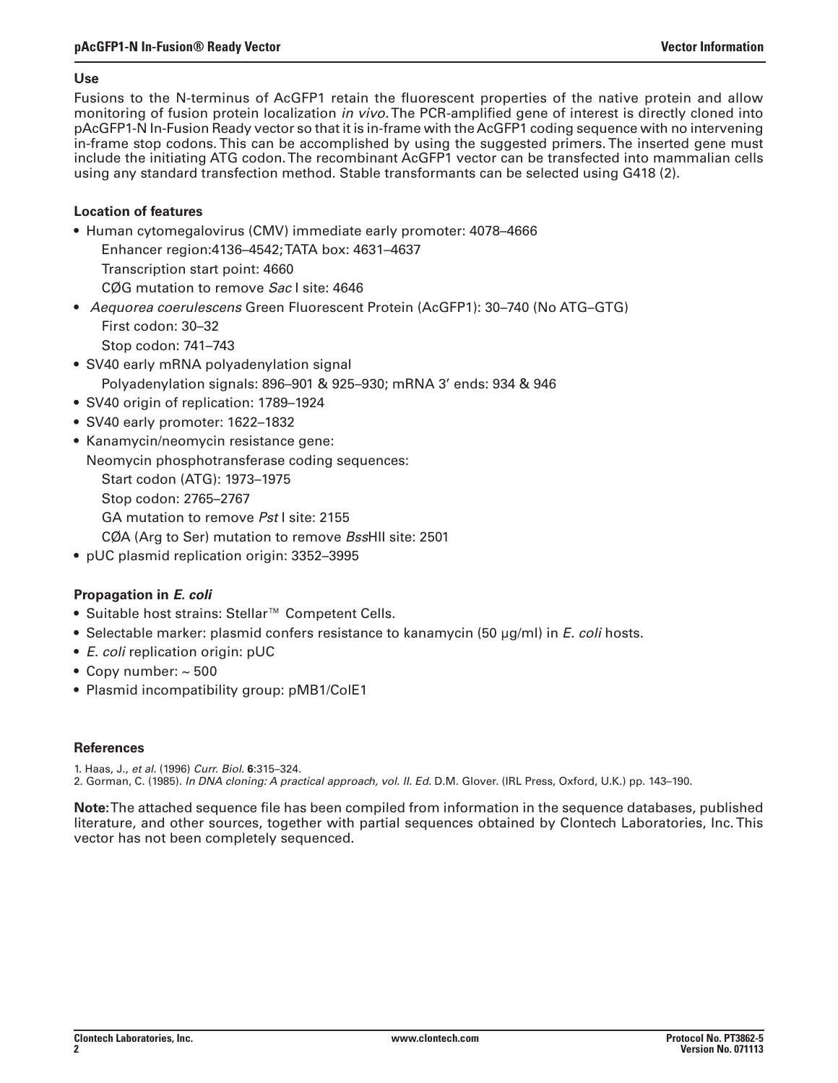### **Use**

Fusions to the N-terminus of AcGFP1 retain the fluorescent properties of the native protein and allow monitoring of fusion protein localization *in vivo.* The PCR-amplified gene of interest is directly cloned into pAcGFP1-N In-Fusion Ready vector so that it is in-frame with the AcGFP1 coding sequence with no intervening in-frame stop codons. This can be accomplished by using the suggested primers. The inserted gene must include the initiating ATG codon. The recombinant AcGFP1 vector can be transfected into mammalian cells using any standard transfection method. Stable transformants can be selected using G418 (2).

# **Location of features**

- Human cytomegalovirus (CMV) immediate early promoter: 4078-4666
	- Enhancer region:4136–4542;TATA box: 4631–4637
	- Transcription start point: 4660

CØG mutation to remove *Sac* I site: 4646

- • *Aequorea coerulescens* Green Fluorescent Protein (AcGFP1): 30–740 (No ATG–GTG) First codon: 30–32 Stop codon: 741–743
- SV40 early mRNA polyadenylation signal Polyadenylation signals: 896–901 & 925–930; mRNA 3' ends: 934 & 946
- SV40 origin of replication: 1789–1924
- • SV40 early promoter: 1622–1832
- Kanamycin/neomycin resistance gene:
	- Neomycin phosphotransferase coding sequences:
		- Start codon (ATG): 1973–1975
		- Stop codon: 2765–2767

GA mutation to remove *Pst* I site: 2155

- CØA (Arg to Ser) mutation to remove *Bss*HII site: 2501
- • pUC plasmid replication origin: 3352–3995

# **Propagation in** *E. coli*

- • Suitable host strains: Stellar™ Competent Cells.
- • Selectable marker: plasmid confers resistance to kanamycin (50 µg/ml) in *E. coli* hosts.
- • *E. coli* replication origin: pUC
- Copy number:  $\sim$  500
- Plasmid incompatibility group: pMB1/ColE1

# **References**

- 1. Haas, J., *et al.* (1996) *Curr. Biol*. **6**:315–324.
- 2. Gorman, C. (1985). *In DNA cloning: A practical approach, vol. II. Ed.* D.M. Glover. (IRL Press, Oxford, U.K.) pp. 143–190.

**Note:** The attached sequence file has been compiled from information in the sequence databases, published literature, and other sources, together with partial sequences obtained by Clontech Laboratories, Inc. This vector has not been completely sequenced.